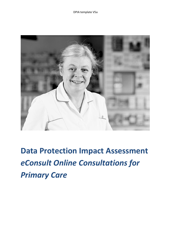

**Data Protection Impact Assessment**  *eConsult Online Consultations for Primary Care*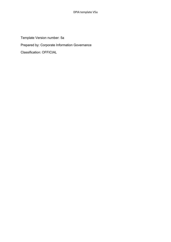Template Version number: 5a

Prepared by: Corporate Information Governance

Classification: OFFICIAL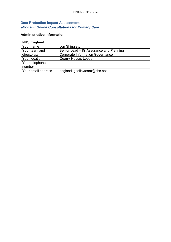## **Data Protection Impact Assessment** *eConsult Online Consultations for Primary Care*

## **Administrative information**

| <b>NHS England</b> |                                         |
|--------------------|-----------------------------------------|
| Your name          | Jon Shingleton                          |
| Your team and      | Senior Lead - IG Assurance and Planning |
| directorate        | <b>Corporate Information Governance</b> |
| Your location      | <b>Quarry House, Leeds</b>              |
| Your telephone     |                                         |
| number             |                                         |
| Your email address | england.igpolicyteam@nhs.net            |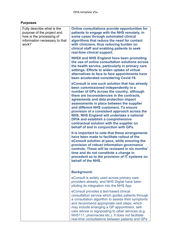# **Purposes**

| Fully describe what is the<br>purpose of the project and<br>how is the processing of<br>information necessary to that<br>work? | Online consultations provide opportunities for<br>patients to engage with the NHS remotely, in<br>some cases through automated clinical<br>algorithms that reduce the need for contact<br>with clinicians, thus reducing burden on<br>clinical staff and enabling patients to seek<br>real-time clinical support.                                                                                                                                                                                                                                      |
|--------------------------------------------------------------------------------------------------------------------------------|--------------------------------------------------------------------------------------------------------------------------------------------------------------------------------------------------------------------------------------------------------------------------------------------------------------------------------------------------------------------------------------------------------------------------------------------------------------------------------------------------------------------------------------------------------|
|                                                                                                                                | <b>NHSX and NHS England have been promoting</b><br>the use of online consultation solutions across<br>the health service, particularly in primary care<br>settings. Efforts to widen uptake of virtual<br>alternatives to face to face appointments have<br>been accelerated considering Covid-19.                                                                                                                                                                                                                                                     |
|                                                                                                                                | eConsult is one such solution that has already<br>been commissioned independently in a<br>number of GPs across the country, although<br>there are inconsistencies in the contracts,<br>agreements and data protection impact<br>assessments in place between the supplier<br>and different NHS customers. To ensure<br>provision of a consistent approach across the<br>NHS, NHS England will undertake a national<br><b>DPIA and establish a comprehensive</b><br>contractual solution with the supplier on<br>behalf of and in conjunction with GPs. |
|                                                                                                                                | It is important to note that these arrangements<br>have been made to facilitate rollout of the<br>eConsult solution at pace, while ensuring the<br>provision of robust information governance<br>controls. These will be reviewed in six months'<br>time and do not constitute a change in<br>precedent as to the provision of IT systems on<br>behalf of the NHS.                                                                                                                                                                                     |
|                                                                                                                                | <b>Background:</b>                                                                                                                                                                                                                                                                                                                                                                                                                                                                                                                                     |
|                                                                                                                                | eConsult is widely used across primary care<br>providers already, and NHS Digital have been<br>piloting its integration into the NHS App.                                                                                                                                                                                                                                                                                                                                                                                                              |
|                                                                                                                                | eConsult provides a text-based clinical<br>consultation service which guides patients through<br>a consultation algorithm to assess their symptoms<br>and recommend appropriate next steps, which<br>may include arranging a GP appointment, self-<br>care advice or signposting to other services (e.g.<br>NHS111, pharmacies etc.). It does not facilitate<br>real-time consultations between patients and GPs                                                                                                                                       |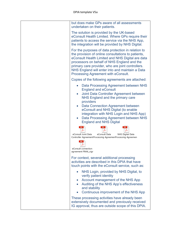| but does make GPs aware of all assessments<br>undertaken on their patients.                                                                                                                                                                                                                                                                                        |
|--------------------------------------------------------------------------------------------------------------------------------------------------------------------------------------------------------------------------------------------------------------------------------------------------------------------------------------------------------------------|
| The solution is provided by the UK-based<br>eConsult Health Limited. Where GPs require their<br>patients to access the service via the NHS App,<br>the integration will be provided by NHS Digital.                                                                                                                                                                |
| For the purposes of data protection in relation to<br>the provision of online consultations to patients,<br>eConsult Health Limited and NHS Digital are data<br>processors on behalf of NHS England and the<br>primary care provider, who are joint controllers.<br>NHS England will enter into and maintain a Data<br>Processing Agreement with eConsult.         |
| Copies of the following agreements are attached:                                                                                                                                                                                                                                                                                                                   |
| Data Processing Agreement between NHS<br><b>England and eConsult</b><br>Joint Data Controller Agreement between<br>NHS England and the primary care<br>providers<br>Data Connection Agreement between<br>eConsult and NHS Digital (to enable<br>integration with NHS Login and NHS App)<br>Data Processing Agreement between NHS<br><b>England and NHS Digital</b> |
| eConsult Joint Data<br>eConsult Data<br><b>NHS Digital Data</b><br>Controller Agreement Processing Agreemen Processing Agreemen<br>eConsult connection<br>agreement FINAL sigr                                                                                                                                                                                     |
| For context, several additional processing<br>activities are described in this DPIA that have<br>touch points with the eConsult service, such as:                                                                                                                                                                                                                  |
| NHS Login, provided by NHS Digital, to<br>verify patient identity<br>Account management of the NHS App<br>Auditing of the NHS App's effectiveness<br>and stability<br>Continuous improvement of the NHS App<br>These processing activities have already been                                                                                                       |
| extensively documented and previously received<br>IG approval, thus are outside scope of this DPIA.                                                                                                                                                                                                                                                                |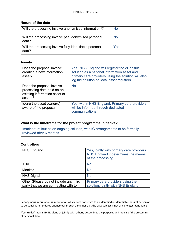### **Nature of the data**

| Will the processing involve anonymised information <sup>1</sup> ? | <b>No</b> |
|-------------------------------------------------------------------|-----------|
| Will the processing involve pseudonymised personal<br>data?       | <b>No</b> |
| Will the processing involve fully identifiable personal<br>data?  | Yes       |

## **Assets**

| Does the proposal involve<br>creating a new information<br>asset?                                   | Yes, NHS England will register the eConsult<br>solution as a national information asset and<br>primary care providers using the solution will also<br>log the solution on local asset registers. |
|-----------------------------------------------------------------------------------------------------|--------------------------------------------------------------------------------------------------------------------------------------------------------------------------------------------------|
| Does the proposal involve<br>processing data held on an<br>existing information asset or<br>assets? | <b>No</b>                                                                                                                                                                                        |
| Is/are the asset owner(s)<br>aware of the proposal                                                  | Yes, within NHS England. Primary care providers<br>will be informed through dedicated<br>communications.                                                                                         |

## **What is the timeframe for the project/programme/initiative?**

Imminent rollout as an ongoing solution, with IG arrangements to be formally reviewed after 6 months.

## **Controllers[2](#page-5-1)**

| <b>NHS England</b>                                                              | Yes, jointly with primary care providers.<br>NHS England it determines the means<br>of the processing. |
|---------------------------------------------------------------------------------|--------------------------------------------------------------------------------------------------------|
| <b>TDA</b>                                                                      | <b>No</b>                                                                                              |
| <b>Monitor</b>                                                                  | <b>No</b>                                                                                              |
| <b>NHS Digital</b>                                                              | <b>No</b>                                                                                              |
| Other (Please do not include any third<br>party that we are contracting with to | Primary care providers using the<br>solution, jointly with NHS England.                                |

<span id="page-5-0"></span><sup>1</sup> anonymous information is information which does not relate to an identified or identifiable natural person or to personal data rendered anonymous in such a manner that the data subject is not or no longer identifiable

<span id="page-5-1"></span><sup>&</sup>lt;sup>2</sup> 'controller' means NHSE, alone or jointly with others, determines the purposes and means of the processing of personal data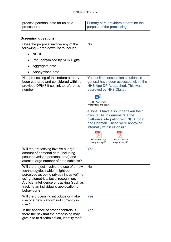| I process personal data for us as a | <b>Primary care providers determine the</b> |
|-------------------------------------|---------------------------------------------|
| processor.)                         | purpose of the processing.                  |

# **Screening questions**

| Does the proposal involve any of the<br>following - drop down list to include:                                                                                                                                                                                               | <b>No</b>                                                                                                                                                                                                                                                                                                                                                                                                                                           |
|------------------------------------------------------------------------------------------------------------------------------------------------------------------------------------------------------------------------------------------------------------------------------|-----------------------------------------------------------------------------------------------------------------------------------------------------------------------------------------------------------------------------------------------------------------------------------------------------------------------------------------------------------------------------------------------------------------------------------------------------|
| <b>NCDR</b><br>$\bullet$                                                                                                                                                                                                                                                     |                                                                                                                                                                                                                                                                                                                                                                                                                                                     |
| <b>Pseudonymised by NHS Digital</b>                                                                                                                                                                                                                                          |                                                                                                                                                                                                                                                                                                                                                                                                                                                     |
| Aggregate data                                                                                                                                                                                                                                                               |                                                                                                                                                                                                                                                                                                                                                                                                                                                     |
| Anonymised data                                                                                                                                                                                                                                                              |                                                                                                                                                                                                                                                                                                                                                                                                                                                     |
| Has processing of this nature already<br>been captured and considered within a<br>previous DPIA? If so, link to reference<br>number                                                                                                                                          | Yes, online consultation solutions in<br>general have been assessed within the<br>NHS App DPIA, attached. This was<br>approved by NHS Digital.<br>NHS App Data<br>Protection Impact As<br>eConsult have also undertaken their<br>own DPIAs to demonstrate the<br>platform's integration with NHS Login<br>and Docman. These were approved<br>internally within eConsult.<br>DPIA - NHS Login<br>DPIA - Docman<br>integration.pdf<br>integration.pdf |
| Will the processing involve a large<br>amount of personal data (including<br>pseudonymised personal data) and<br>affect a large number of data subjects?                                                                                                                     | Yes                                                                                                                                                                                                                                                                                                                                                                                                                                                 |
| Will the project involve the use of a new<br>technology(ies) which might be<br>perceived as being privacy intrusive? i.e.<br>using biometrics, facial recognition,<br>Artificial Intelligence or tracking (such as<br>tracking an individual's geolocation or<br>behaviour)? | <b>No</b>                                                                                                                                                                                                                                                                                                                                                                                                                                           |
| Will the processing introduce or make<br>use of a new platform not currently in<br>use?                                                                                                                                                                                      | Yes                                                                                                                                                                                                                                                                                                                                                                                                                                                 |
| In the absence of proper controls is<br>there the risk that the processing may<br>give rise to discrimination, identity theft                                                                                                                                                | Yes                                                                                                                                                                                                                                                                                                                                                                                                                                                 |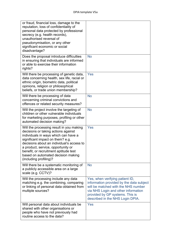| or fraud, financial loss, damage to the<br>reputation, loss of confidentiality of<br>personal data protected by professional<br>secrecy (e.g. health records),<br>unauthorised reversal of<br>pseudonymisation, or any other<br>significant economic or social<br>disadvantage?                                                                         |                                                                                                                                                                                                                                  |
|---------------------------------------------------------------------------------------------------------------------------------------------------------------------------------------------------------------------------------------------------------------------------------------------------------------------------------------------------------|----------------------------------------------------------------------------------------------------------------------------------------------------------------------------------------------------------------------------------|
| Does the proposal introduce difficulties<br>in ensuring that individuals are informed<br>or able to exercise their information<br>rights?                                                                                                                                                                                                               | <b>No</b>                                                                                                                                                                                                                        |
| Will there be processing of genetic data,<br>data concerning health, sex life, racial or<br>ethnic origin, biometric data, political<br>opinions, religion or philosophical<br>beliefs, or trade union membership?                                                                                                                                      | Yes                                                                                                                                                                                                                              |
| Will there be processing of data<br>concerning criminal convictions and<br>offences or related security measures?                                                                                                                                                                                                                                       | <b>No</b>                                                                                                                                                                                                                        |
| Will the project involve the targeting of<br>children or other vulnerable individuals<br>for marketing purposes, profiling or other<br>automated decision making?                                                                                                                                                                                       | <b>No</b>                                                                                                                                                                                                                        |
| Will the processing result in you making<br>decisions or taking actions against<br>individuals in ways which can have a<br>significant impact on them? e.g.<br>decisions about an individual's access to<br>a product, service, opportunity or<br>benefit, or recruitment aptitude test<br>based on automated decision making<br>(including profiling)? | Yes                                                                                                                                                                                                                              |
| Will there be a systematic monitoring of<br>a publicly accessible area on a large<br>scale (e.g. CCTV)?                                                                                                                                                                                                                                                 | <b>No</b>                                                                                                                                                                                                                        |
| Will the processing include any data<br>matching e.g. the combining, comparing<br>or linking of personal data obtained from<br>multiple sources?                                                                                                                                                                                                        | Yes, when verifying patient ID,<br>information provided by the data subject<br>will be matched with the NHS number<br>via NHS Login and other information<br>provided by GP systems. This is<br>described in the NHS Login DPIA. |
| Will personal data about individuals be<br>shared with other organisations or<br>people who have not previously had<br>routine access to the data?                                                                                                                                                                                                      | Yes                                                                                                                                                                                                                              |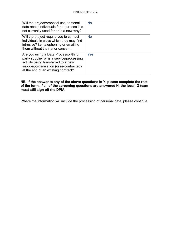| Will the project/proposal use personal<br>data about individuals for a purpose it is<br>not currently used for or in a new way?                                                                             | <b>No</b> |
|-------------------------------------------------------------------------------------------------------------------------------------------------------------------------------------------------------------|-----------|
| Will the project require you to contact<br>individuals in ways which they may find<br>intrusive? i.e. telephoning or emailing<br>them without their prior consent.                                          | <b>No</b> |
| Are you using a Data Processor/third<br>party supplier or is a service/processing<br>activity being transferred to a new<br>supplier/organisation (or re-contracted)<br>at the end of an existing contract? | Yes       |

#### **NB. If the answer to any of the above questions is Y, please complete the rest of the form. If all of the screening questions are answered N, the local IG team must still sign off the DPIA.**

Where the information will include the processing of personal data, please continue.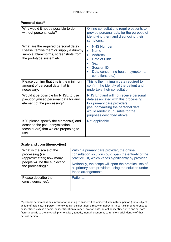### **Personal data[3](#page-9-0)**

| Why would it not be possible to do<br>without personal data?                                                                                        | Online consultations require patients to<br>provide personal data for the purpose of<br>identifying them and diagnosing their<br>symptoms.                                                                          |
|-----------------------------------------------------------------------------------------------------------------------------------------------------|---------------------------------------------------------------------------------------------------------------------------------------------------------------------------------------------------------------------|
| What are the required personal data?<br>Please itemise them or supply a dummy<br>sample, blank forms, screenshots from<br>the prototype system etc. | <b>NHS Number</b><br>$\bullet$<br><b>Name</b><br>$\bullet$<br><b>Address</b><br>$\bullet$<br>Date of Birth<br>$\bullet$<br><b>Sex</b><br><b>Session ID</b><br>Data concerning health (symptoms,<br>conditions etc.) |
| Please confirm that this is the minimum<br>amount of personal data that is<br>necessary.                                                            | This is the minimum data required to<br>confirm the identity of the patient and<br>undertake their consultation.                                                                                                    |
| Would it be possible for NHSE to use<br>pseudonymised personal data for any<br>element of the processing?                                           | NHS England will not receive personal<br>data associated with this processing.<br>For primary care providers,<br>pseudonymising the personal data<br>would render it unusable for the<br>purposes described above.  |
| If Y, please specify the element(s) and<br>describe the pseudonymisation<br>technique(s) that we are proposing to<br>use.                           | Not applicable.                                                                                                                                                                                                     |

# **Scale and constituency(ies)**

| What is the scale of the<br>processing (i.e.<br>(approximately) how many<br>people will be the subject of<br>the processing)? | Within a primary care provider, the online<br>consultation solution could span the entirety of the<br>practice list, which varies significantly by provider.<br>Nationally, the scope will span the practice lists of<br>all primary care providers using the solution under<br>these arrangements. |
|-------------------------------------------------------------------------------------------------------------------------------|-----------------------------------------------------------------------------------------------------------------------------------------------------------------------------------------------------------------------------------------------------------------------------------------------------|
| Please describe the<br>constituency(ies).                                                                                     | Patients.                                                                                                                                                                                                                                                                                           |

<span id="page-9-0"></span><sup>&</sup>lt;sup>3</sup> 'personal data' means any information relating to an identified or identifiable natural person ('data subject'); an identifiable natural person is one who can be identified, directly or indirectly, in particular by reference to an identifier such as a name, an identification number, location data, an online identifier or to one or more factors specific to the physical, physiological, genetic, mental, economic, cultural or social identity of that natural person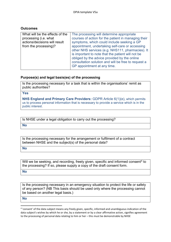#### **Outcomes**

| What will be the effects of the | The processing will determine appropriate                                                                                                                                                                                                                                                      |
|---------------------------------|------------------------------------------------------------------------------------------------------------------------------------------------------------------------------------------------------------------------------------------------------------------------------------------------|
| processing (i.e. what           | courses of action for the patient in managing their                                                                                                                                                                                                                                            |
| actions/decisions will result   | symptoms, which could include seeking a GP                                                                                                                                                                                                                                                     |
| from the processing)?           | appointment, undertaking self-care or accessing<br>other NHS services (e.g. NHS111, pharmacies). It<br>is important to note that the patient will not be<br>obliged by the advice provided by the online<br>consultation solution and will be free to request a<br>GP appointment at any time. |

#### **Purpose(s) and legal basis(es) of the processing**

Is the processing necessary for a task that is within the organisations' remit as public authorities?

**Yes**

**NHS England and Primary Care Providers:** GDPR Article 6(1)(e), which permits us to process personal information that is necessary to provide a service which is in the public interest.

Is NHSE under a legal obligation to carry out the processing?

**No**

Is the processing necessary for the arrangement or fulfilment of a contract between NHSE and the subject(s) of the personal data?

**No**

Will we be seeking, and recording, freely given, specific and informed consent<sup>[4](#page-10-0)</sup> to the processing? If so, please supply a copy of the draft consent form.

**No**

Is the processing necessary in an emergency situation to protect the life or safety of any person? (NB This basis should be used only where the processing cannot be based on another legal basis.)

**No**

<span id="page-10-0"></span><sup>4</sup> 'consent' of the data subject means any freely given, specific, informed and unambiguous indication of the data subject's wishes by which he or she, by a statement or by a clear affirmative action, signifies agreement to the processing of personal data relating to him or her - this must be demonstrable by NHSE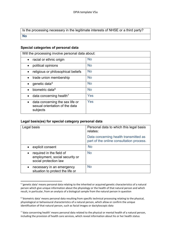Is the processing necessary in the legitimate interests of NHSE or a third party? **No**

### **Special categories of personal data**

| Will the processing involve personal data about:                              |           |  |
|-------------------------------------------------------------------------------|-----------|--|
| racial or ethnic origin                                                       | <b>No</b> |  |
| political opinions                                                            | <b>No</b> |  |
| religious or philosophical beliefs                                            | <b>No</b> |  |
| trade union membership                                                        | <b>No</b> |  |
| genetic data <sup>5</sup>                                                     | <b>No</b> |  |
| biometric data <sup>6</sup>                                                   | <b>No</b> |  |
| data concerning health <sup>7</sup>                                           | Yes       |  |
| data concerning the sex life or<br>sexual orientation of the data<br>subjects | Yes       |  |

#### **Legal basis(es) for special category personal data**

| Legal basis                                                                                      | Personal data to which this legal basis<br>relates:                               |
|--------------------------------------------------------------------------------------------------|-----------------------------------------------------------------------------------|
|                                                                                                  | Data concerning health transmitted as<br>part of the online consultation process. |
| explicit consent<br>$\bullet$                                                                    | <b>No</b>                                                                         |
| required in the field of<br>$\bullet$<br>employment, social security or<br>social protection law | <b>No</b>                                                                         |
| necessary in an emergency<br>$\bullet$<br>situation to protect the life or                       | <b>No</b>                                                                         |

<span id="page-11-0"></span><sup>5</sup> 'genetic data' means personal data relating to the inherited or acquired genetic characteristics of a natural person which give unique information about the physiology or the health of that natural person and which result, in particular, from an analysis of a biological sample from the natural person in question

<span id="page-11-1"></span><sup>6</sup> 'biometric data' means personal data resulting from specific technical processing relating to the physical, physiological or behavioural characteristics of a natural person, which allow or confirm the unique identification of that natural person, such as facial images or dactyloscopic data

<span id="page-11-2"></span><sup>7</sup> 'data concerning health' means personal data related to the physical or mental health of a natural person, including the provision of health care services, which reveal information about his or her health status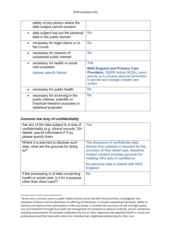| safety of any person where the<br>data subject cannot consent               |                                                                                                                                                                                      |
|-----------------------------------------------------------------------------|--------------------------------------------------------------------------------------------------------------------------------------------------------------------------------------|
| data subject has put the personal<br>$\bullet$<br>data in the public domain | <b>No</b>                                                                                                                                                                            |
| necessary for legal claims or to<br>$\bullet$<br>the Courts                 | <b>No</b>                                                                                                                                                                            |
| necessary for reasons of<br>$\bullet$<br>substantial public interest        | <b>No</b>                                                                                                                                                                            |
| necessary for health or social<br>care purposes                             | Yes                                                                                                                                                                                  |
| (please specify below)                                                      | <b>NHS England and Primary Care</b><br><b>Providers: GDPR Article 9(2)(h), which</b><br>permits us to process personal information<br>to provide and manage a health care<br>system. |
| necessary for public health                                                 | <b>No</b>                                                                                                                                                                            |

#### **Common law duty of confidentiality**

| Are any of the data subject to a duty of<br>confidentiality (e.g. clinical records, OH<br>details, payroll information)? If so,<br>please specify them. | Yes                                                                                                                                                                                                       |
|---------------------------------------------------------------------------------------------------------------------------------------------------------|-----------------------------------------------------------------------------------------------------------------------------------------------------------------------------------------------------------|
| Where it is planned to disclose such<br>data, what are the grounds for doing<br>so?                                                                     | The disclosure of confidential data<br>directly from patients is required for the<br>provision of their direct care, therefore<br>implied consent provides grounds for<br>meeting GPs duty of confidence. |
|                                                                                                                                                         | No personal data is shared with NHS<br>England.                                                                                                                                                           |
| If the processing is of data concerning<br>health or social care, is it for a purpose<br>other than direct care <sup>8</sup> ?                          | <b>No</b>                                                                                                                                                                                                 |

<span id="page-12-0"></span><sup>8</sup> direct care: a clinical, social or public health activity concerned with the prevention, investigation and treatment of illness and the alleviation of suffering of individuals. It includes supporting individuals' ability to function and improve their participation in life and society. It includes the assurance of safe and high quality care and treatment through local audit, the management of untoward or adverse incidents, person satisfaction including measurement of outcomes undertaken by one or more registered and regulated health or social care professionals and their team with whom the individual has a legitimate relationship for their care.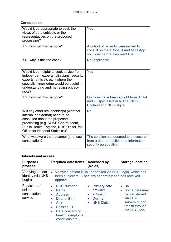## **Consultation**

| Would it be appropriate to seek the<br>views of data subjects or their<br>representatives on the proposed<br>processing?                                                                                                         | Yes                                                                                                             |
|----------------------------------------------------------------------------------------------------------------------------------------------------------------------------------------------------------------------------------|-----------------------------------------------------------------------------------------------------------------|
| If Y, how will this be done?                                                                                                                                                                                                     | A cohort of patients were invited to<br>consult on the eConsult and NHS App<br>solutions before they went live. |
| If N, why is this the case?                                                                                                                                                                                                      | Not applicable                                                                                                  |
| Would it be helpful to seek advice from<br>independent experts (clinicians, security<br>experts, ethicists etc.) where their<br>specialist knowledge would be useful in<br>understanding and managing privacy<br>risks?          | Yes                                                                                                             |
| If Y, how will this be done?                                                                                                                                                                                                     | Opinions have been sought from digital<br>and IG specialists in NHSX, NHS<br><b>England and NHS Digital</b>     |
| Will any other stakeholder(s) (whether<br>internal or external) need to be<br>consulted about the proposed<br>processing (e.g. NHSE Central team,<br>Public Health England, NHS Digital, the<br>Office for National Statistics)? | <b>No</b>                                                                                                       |
| What was/were the outcomes(s) of such<br>consultation?                                                                                                                                                                           | The solution has deemed to be secure<br>from a data protection and information<br>security perspective.         |

## **Datasets and access**

| Purpose /<br>process                              | <b>Required data items</b>                                                                                                                                                                                                                       | <b>Accessed by</b><br>(Roles)                                                                                          | <b>Storage location</b>                                                                                           |
|---------------------------------------------------|--------------------------------------------------------------------------------------------------------------------------------------------------------------------------------------------------------------------------------------------------|------------------------------------------------------------------------------------------------------------------------|-------------------------------------------------------------------------------------------------------------------|
| Verifying patient<br>identity (via NHS<br>Login)  | approval                                                                                                                                                                                                                                         | Verifying patient ID is undertaken via NHS Login, which has<br>been subject to IG scrutiny separately and has received |                                                                                                                   |
| Provision of<br>online<br>consultation<br>service | <b>NHS Number</b><br>$\bullet$<br><b>Name</b><br>$\bullet$<br><b>Address</b><br>$\bullet$<br>Date of Birth<br>$\bullet$<br><b>Sex</b><br><b>Session ID</b><br>$\bullet$<br>Data concerning<br>$\bullet$<br>health (symptoms,<br>conditions etc.) | <b>Primary care</b><br>$\bullet$<br>provider<br>eConsult<br><b>Docman</b><br><b>NHS Digital</b>                        | $\bullet$ UK<br>• Some data may<br>be transferred<br>via EEA<br>servers during<br>transit through<br>the NHS App, |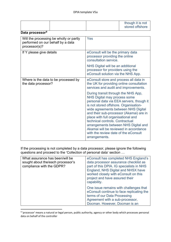|                                                                                               |  |                                                                                                                                                                                                                                                                                                                                                                                                                                                                      | though it is not<br>stored offshore |
|-----------------------------------------------------------------------------------------------|--|----------------------------------------------------------------------------------------------------------------------------------------------------------------------------------------------------------------------------------------------------------------------------------------------------------------------------------------------------------------------------------------------------------------------------------------------------------------------|-------------------------------------|
| Data processor <sup>9</sup>                                                                   |  |                                                                                                                                                                                                                                                                                                                                                                                                                                                                      |                                     |
| Will the processing be wholly or partly<br>performed on our behalf by a data<br>processor(s)? |  | Yes                                                                                                                                                                                                                                                                                                                                                                                                                                                                  |                                     |
| If Y please give details                                                                      |  | eConsult will be the primary data<br>processor providing the online<br>consultation service.                                                                                                                                                                                                                                                                                                                                                                         |                                     |
|                                                                                               |  | NHS Digital will be an additional<br>processor for providers using the<br>eConsult solution via the NHS App.                                                                                                                                                                                                                                                                                                                                                         |                                     |
| Where is the data to be processed by<br>the data processor?                                   |  | eConsult store and process all data in<br>the UK for providing online consultation<br>services and audit and improvements.                                                                                                                                                                                                                                                                                                                                           |                                     |
|                                                                                               |  | During transit through the NHS App,<br><b>NHS Digital may process some</b><br>personal data via EEA servers, though it<br>is not stored offshore. Organisation-<br>wide agreements between NHS Digital<br>and their sub-processor (Akamai) are in<br>place with full organisational and<br>technical controls. Contractual<br>arrangements between NHS Digital and<br>Akamai will be reviewed in accordance<br>with the review date of the eConsult<br>arrangements. |                                     |

If the processing is not completed by a data processor, please ignore the following questions and proceed to the 'Collection of personal data' section …

| What assurance has been/will be<br>sought about the/each processor's<br>compliance with the GDPR? | eConsult has completed NHS England's<br>data processor assurance checklist as<br>part of this DPIA. IG specialists in NHS<br>England, NHS Digital and NHSX have<br>worked closely with eConsult on this<br>project and have assured their<br>capability. |
|---------------------------------------------------------------------------------------------------|----------------------------------------------------------------------------------------------------------------------------------------------------------------------------------------------------------------------------------------------------------|
|                                                                                                   | One issue remains with challenges that<br>eConsult continue to face replicating the<br>terms of our Data Processing<br>Agreement with a sub-processor,<br>Docman. However, Docman is an                                                                  |

<span id="page-14-0"></span><sup>9</sup> 'processor' means a natural or legal person, public authority, agency or other body which processes personal data on behalf of the controller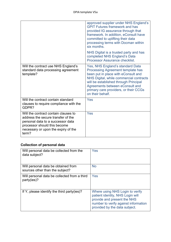|                                                                                                                                                                                                 | approved supplier under NHS England's<br><b>GPIT Futures framework and has</b><br>provided IG assurance through that<br>framework. In addition, eConsult have<br>committed to uplifting their data<br>processing terms with Docman within<br>six months.<br>NHS Digital is a trusted party and has<br>completed NHS England's Data<br>Processor Assurance checklist. |
|-------------------------------------------------------------------------------------------------------------------------------------------------------------------------------------------------|----------------------------------------------------------------------------------------------------------------------------------------------------------------------------------------------------------------------------------------------------------------------------------------------------------------------------------------------------------------------|
| Will the contract use NHS England's<br>standard data processing agreement<br>template?                                                                                                          | Yes, NHS England's standard Data<br>Processing Agreement template has<br>been put in place with eConsult and<br>NHS Digital, while commercial contracts<br>will be established through Principal<br>Agreements between eConsult and<br>primary care providers, or their CCGs<br>on their behalf.                                                                     |
| Will the contract contain standard<br>clauses to require compliance with the<br>GDPR?                                                                                                           | Yes                                                                                                                                                                                                                                                                                                                                                                  |
| Will the contract contain clauses to<br>address the secure transfer of the<br>personal data to a successor data<br>processor should this become<br>necessary or upon the expiry of the<br>term? | Yes                                                                                                                                                                                                                                                                                                                                                                  |

# **Collection of personal data**

| Will personal data be collected from the<br>data subject?              | Yes                                                                                                                                                                         |
|------------------------------------------------------------------------|-----------------------------------------------------------------------------------------------------------------------------------------------------------------------------|
| Will personal data be obtained from<br>sources other than the subject? | <b>No</b>                                                                                                                                                                   |
| Will personal data be collected from a third<br>party(ies)?            | Yes                                                                                                                                                                         |
| If Y, please identify the third party(ies)?                            | Where using NHS Login to verify<br>patient identity, NHS Login will<br>provide and present the NHS<br>number to verify against information<br>provided by the data subject. |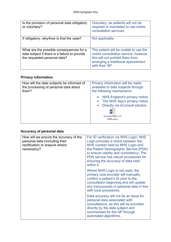| Is the provision of personal data obligatory<br>or voluntary?                                                             | Voluntary, as patients will not be<br>required or mandated to use online<br>consultation services.                                                                          |
|---------------------------------------------------------------------------------------------------------------------------|-----------------------------------------------------------------------------------------------------------------------------------------------------------------------------|
| If obligatory, why/how is that the case?                                                                                  | Not applicable                                                                                                                                                              |
| What are the possible consequences for a<br>data subject if there is a failure to provide<br>the requested personal data? | The patient will be unable to use the<br>online consultation service; however,<br>this will not prohibit them from<br>arranging a traditional appointment<br>with their GP. |

# **Privacy information**

| How will the data subjects be informed of<br>the processing of personal data about<br>them? | Privacy information will be made<br>available to data subjects through<br>the following mechanisms:                                             |  |
|---------------------------------------------------------------------------------------------|-------------------------------------------------------------------------------------------------------------------------------------------------|--|
|                                                                                             | NHS England's privacy notice<br>The NHS App's privacy notice<br>Directly via eConsult solution<br>$\bullet$<br>eConsult FPNs v1.0<br>FINAL.docx |  |

# **Accuracy of personal data**

| How will we ensure the accuracy of the<br>personal data (including their<br>rectification or erasure where<br>necessary)? | For ID verification via NHS Login, NHS<br>Login provides a check between the<br>NHS number held by NHS Login and<br>the Patient Demographic Service (PDS)<br>to ensure validity and consistency. The<br>PDS service has robust procedures for<br>ensuring the accuracy of data held<br>within it. |  |
|---------------------------------------------------------------------------------------------------------------------------|---------------------------------------------------------------------------------------------------------------------------------------------------------------------------------------------------------------------------------------------------------------------------------------------------|--|
|                                                                                                                           | Where NHS Login is not used, the<br>primary care provider will manually<br>confirm a patient's ID prior to the<br>consultation beginning and will update<br>any inaccuracies in personal data in line<br>with local procedures.                                                                   |  |
|                                                                                                                           | Data accuracy will not be an issue for<br>personal data associated with<br>consultations, as this will be provided<br>directly by the data subject and<br>summarised for the GP through<br>automated algorithms.                                                                                  |  |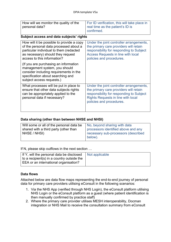| How will we monitor the quality of the<br>personal data?                                                                                                                                           | For ID verification, this will take place in<br>real time as the patient's ID is<br>confirmed.                                                                                                          |
|----------------------------------------------------------------------------------------------------------------------------------------------------------------------------------------------------|---------------------------------------------------------------------------------------------------------------------------------------------------------------------------------------------------------|
| Subject access and data subjects' rights                                                                                                                                                           |                                                                                                                                                                                                         |
| How will it be possible to provide a copy<br>of the personal data processed about a<br>particular individual to them (redacted<br>as necessary) should they request<br>access to this information? | Under the joint controller arrangements,<br>the primary care providers will retain<br>responsibility for responding to Subject<br><b>Access Requests in line with local</b><br>policies and procedures. |
| (If you are purchasing an information<br>management system, you should<br>consider including requirements in the<br>specification about searching and<br>subject access requests.)                 |                                                                                                                                                                                                         |
| What processes will be put in place to<br>ensure that other data subjects rights<br>can be appropriately applied to the<br>personal data if necessary?                                             | Under the joint controller arrangements,<br>the primary care providers will retain<br>responsibility for responding to Subject<br><b>Rights Requests in line with local</b><br>policies and procedures. |

#### **Data sharing (other than between NHSE and NHSI)**

| Will some or all of the personal data be | No, beyond sharing with data        |
|------------------------------------------|-------------------------------------|
| shared with a third party (other than    | processors identified above and any |
| NHSE / NHSI)                             | necessary sub-processors (described |
|                                          | below).                             |

If N, please skip outflows in the next section …

| If Y, will the personal data be disclosed $\Box$ Not applicable |  |
|-----------------------------------------------------------------|--|
| to a recipient(s) in a country outside the                      |  |
| EEA or an international organisation?                           |  |

#### **Data flows**

Attached below are data flow maps representing the end-to-end journey of personal data for primary care providers utilising eConsult in the following scenarios:

- 1. Via the NHS App (verified through NHS Login), the eConsult platform utilising NHS Login or the eConsult platform as a guest (where patient identification is then manually confirmed by practice staff)
- 2. Where the primary care provider utilises MESH interoperability, Docman integration or NHS Mail to receive the consultation summary from eConsult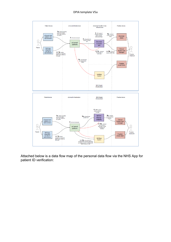#### DPIA template V5a



Attached below is a data flow map of the personal data flow via the NHS App for patient ID verification: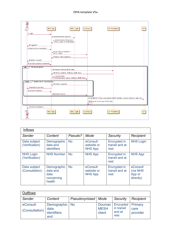| <b>GP Providers</b><br>NHS Login<br>NHS App<br>eConsult<br>User       |
|-----------------------------------------------------------------------|
|                                                                       |
| 1 Login                                                               |
| 2 Authentication Request                                              |
|                                                                       |
| 3 Authentication Response<br>[ODS Code, NHS Number]                   |
|                                                                       |
| 4 Logged in                                                           |
| 5 Start online consultation                                           |
|                                                                       |
| , Fetch service definition<br>' [ODS Code]                            |
|                                                                       |
| 7 Return T&Cs question                                                |
| 8 Ask for consent                                                     |
|                                                                       |
| 9 Consent question answered                                           |
| [Consent given]<br>alt                                                |
| 10 Request demographic data                                           |
|                                                                       |
| 11 Return [Name, Address, DOB, Sex]                                   |
|                                                                       |
| 12 Consent given<br>[NHS Number, Name, Address, DOB, Sex]             |
|                                                                       |
| [until end of consultation]<br>loop                                   |
| 13 Return question                                                    |
| 14 present question                                                   |
|                                                                       |
| 15 answer question                                                    |
| 16 provide answer                                                     |
|                                                                       |
| 17 eMail PDF of the consultation [NHS Number, Name, Address, Age, Sex |
| 18 Remove local copy of the data                                      |
|                                                                       |
|                                                                       |
| 19 End consultation                                                   |
| User                                                                  |
| <b>GP Providers</b><br>NHS App<br>NHS Login<br>eConsult               |
|                                                                       |
|                                                                       |
|                                                                       |

| <b>Inflows</b>                     |                                                         |           |                                          |                                               |                                             |
|------------------------------------|---------------------------------------------------------|-----------|------------------------------------------|-----------------------------------------------|---------------------------------------------|
| Sender                             | Content                                                 | Pseudo?   | Mode                                     | <b>Security</b>                               | Recipient                                   |
| Data subject<br>(Verification)     | Demographic<br>data and<br><b>identifiers</b>           | <b>No</b> | eConsult<br>website or<br><b>NHS App</b> | <b>Encrypted in</b><br>transit and at<br>rest | <b>NHS Login</b>                            |
| <b>NHS Login</b><br>(Verification) | <b>NHS Number</b>                                       | <b>No</b> | <b>NHS App</b>                           | <b>Encrypted in</b><br>transit and at<br>rest | <b>NHS App</b>                              |
| Data subject<br>(Consultation)     | Demographic<br>data and<br>data<br>concerning<br>health | <b>No</b> | eConsult<br>website or<br><b>NHS App</b> | <b>Encrypted in</b><br>transit and at<br>rest | eConsult<br>(via NHS<br>App or<br>directly) |

| <b>Outflows</b>            |                                               |               |                                 |                                           |                             |
|----------------------------|-----------------------------------------------|---------------|---------------------------------|-------------------------------------------|-----------------------------|
| Sender                     | Content                                       | Pseudonymised | Mode                            | Security                                  | Recipient                   |
| eConsult<br>(Consultation) | Demographic No<br>data,<br>identifiers<br>and |               | Docman<br><b>MESH</b><br>client | Encrypted<br>in transit<br>and at<br>rest | Primary<br>care<br>provider |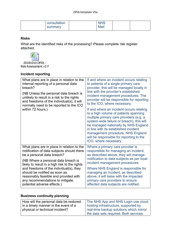| consultation |      |  |
|--------------|------|--|
| summary      | Mail |  |

### **Risks**

What are the identified risks of the processing? Please complete risk register attached.



20181010 DPIA - Risk Assessment v2 F

## **Incident reporting**

| What plans are in place in relation to the<br>internal reporting of a personal data<br>breach?<br>(NB Unless the personal data breach is<br>unlikely to result in a risk to the rights<br>and freedoms of the individual(s), it will<br>normally need to be reported to the ICO<br>within 72 hours.) | If and where an incident occurs relating<br>to patients of a single primary care<br>provider, this will be managed locally in<br>line with the provider's established<br>incident management procedures. The<br>provider will be responsible for reporting<br>to the ICO, where necessary.<br>If and where an incident occurs relating<br>to a high volume of patients spanning<br>multiple primary care providers (e.g. a<br>system-wide failure or breach), this will<br>be managed nationally by NHS England<br>in line with its established incident<br>management procedure. NHS England<br>will be responsible for reporting to the<br>ICO, where necessary. |
|------------------------------------------------------------------------------------------------------------------------------------------------------------------------------------------------------------------------------------------------------------------------------------------------------|--------------------------------------------------------------------------------------------------------------------------------------------------------------------------------------------------------------------------------------------------------------------------------------------------------------------------------------------------------------------------------------------------------------------------------------------------------------------------------------------------------------------------------------------------------------------------------------------------------------------------------------------------------------------|
| What plans are in place in relation to the<br>notification of data subjects should there<br>be a personal data breach?<br>(NB Where a personal data breach is                                                                                                                                        | Where a primary care provider is<br>responsible for managing an incident,<br>as described above, they will manage<br>notification to data subjects as per local<br>incident management procedures.                                                                                                                                                                                                                                                                                                                                                                                                                                                                 |
| likely to result in a high risk to the rights<br>and freedoms of the individual(s), they<br>should be notified as soon as<br>reasonably feasible and provided with<br>any recommendations to mitigate<br>potential adverse effects.)                                                                 | Where NHS England is responsible for<br>managing an incident, as described<br>above, it will liaise with the impacted<br>primary care providers to ensure<br>affected data subjects are notified.                                                                                                                                                                                                                                                                                                                                                                                                                                                                  |

# **Business continuity planning**

| How will the personal data be restored | The NHS App and NHS Login use cloud     |
|----------------------------------------|-----------------------------------------|
| in a timely manner in the event of a   | hosting infrastructure, supported by    |
| physical or technical incident?        | real-time backup solutions which mirror |
|                                        | the data sets required. Both services   |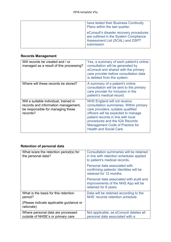| have tested their Business Continuity<br>Plans within the last quarter.                                                           |
|-----------------------------------------------------------------------------------------------------------------------------------|
| eConsult's disaster recovery procedures<br>are outlined in the System Compliance<br>Assessment List (SCAL) and DSPT<br>submission |

# **Records Management**

| Will records be created and / or<br>managed as a result of this processing?                                                    | Yes, a summary of each patient's online<br>consultation will be generated by<br>eConsult and shared with the primary<br>care provider before consultation data<br>is deleted from the system.                                                                                                           |
|--------------------------------------------------------------------------------------------------------------------------------|---------------------------------------------------------------------------------------------------------------------------------------------------------------------------------------------------------------------------------------------------------------------------------------------------------|
| Where will these records be stored?                                                                                            | A summary of a patient's online<br>consultation will be sent to the primary<br>care provider for inclusion in the<br>patient's medical record.                                                                                                                                                          |
| Will a suitable individual, trained in<br>records and information management,<br>be responsible for managing these<br>records? | NHS England will not receive<br>consultation summaries. Within primary<br>care providers, suitably qualified<br>officers will be expected to manage<br>patient records in line with local<br>procedures and the IGA Records<br><b>Management Code of Practice for</b><br><b>Health and Social Care.</b> |

# **Retention of personal data**

| What is/are the retention period(s) for<br>the personal data?          | Consultation summaries will be retained<br>in line with retention schedules applied<br>to patient's medical records. |
|------------------------------------------------------------------------|----------------------------------------------------------------------------------------------------------------------|
|                                                                        | Personal data associated with<br>confirming patients' identities will be<br>retained for 12 months.                  |
|                                                                        | Personal data associated with audit and<br>improvements of the NHS App will be<br>retained for 8 years.              |
| What is the basis for this retention<br>period?                        | Data will be retained according to the<br>NHS' records retention schedule.                                           |
| (Please indicate applicable guidance or<br>rationale)                  |                                                                                                                      |
| Where personal data are processed<br>outside of NHSE's or primary care | Not applicable, as eConsult deletes all<br>personal data associated with a                                           |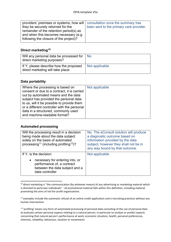| providers' premises or systems, how will   consultation once the summary has |                                         |
|------------------------------------------------------------------------------|-----------------------------------------|
| they be securely returned for the                                            | been sent to the primary care provider. |
| remainder of the retention period(s) as                                      |                                         |
| and when this becomes necessary (e.g.                                        |                                         |
| following the closure of the project)?                                       |                                         |
|                                                                              |                                         |

## **Direct marketing[10](#page-22-0)**

| Will any personal data be processed for<br>direct marketing purposes?       | l No           |
|-----------------------------------------------------------------------------|----------------|
| If Y, please describe how the proposed<br>direct marketing will take place: | Not applicable |

#### **Data portability**

| Where the processing is based on<br>consent or due to a contract, it is carried<br>out by automated means and the data<br>subject has provided the personal data<br>to us, will it be possible to provide them<br>or a different controller with the personal | Not applicable |
|---------------------------------------------------------------------------------------------------------------------------------------------------------------------------------------------------------------------------------------------------------------|----------------|
| data in a structured, commonly used<br>and machine-readable format?                                                                                                                                                                                           |                |

## **Automated processing**

| Will the processing result in a decision<br>being made about the data subject<br>solely on the basis of automated<br>processing <sup>11</sup> (including profiling <sup>12</sup> )? | No. The eConsult solution will produce<br>a diagnostic outcome based on<br>information provided by the data<br>subject, however they shall not be in<br>any way bound by that outcome. |
|-------------------------------------------------------------------------------------------------------------------------------------------------------------------------------------|----------------------------------------------------------------------------------------------------------------------------------------------------------------------------------------|
| If Y, is the decision:<br>necessary for entering into, or<br>$\bullet$<br>performance of, a contract<br>between the data subject and a                                              | Not applicable                                                                                                                                                                         |
| data controller                                                                                                                                                                     |                                                                                                                                                                                        |

<span id="page-22-0"></span> $10$  direct marketing is "the communication (by whatever means) of any advertising or marketing material which is directed to particular individuals" - all promotional material falls within this definition, including material promoting the aims of not-for-profit organisations

<span id="page-22-1"></span><sup>&</sup>lt;sup>11</sup> examples include the automatic refusal of an online credit application and e-recruiting practices without any human intervention

<span id="page-22-2"></span><sup>&</sup>lt;sup>12</sup> 'profiling' means any form of automated processing of personal data consisting of the use of personal data to evaluate certain personal aspects relating to a natural person, in particular to analyse or predict aspects concerning that natural person's performance at work, economic situation, health, personal preferences, interests, reliability, behaviour, location or movements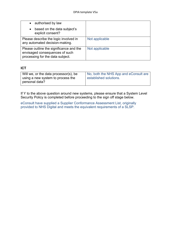| • authorised by law<br>based on the data subject's<br>$\bullet$<br>explicit consent?                          |                |
|---------------------------------------------------------------------------------------------------------------|----------------|
| Please describe the logic involved in<br>any automated decision-making.                                       | Not applicable |
| Please outline the significance and the<br>envisaged consequences of such<br>processing for the data subject. | Not applicable |

## **ICT**

| Will we, or the data processor(s), be               | No, both the NHS App and eConsult are |
|-----------------------------------------------------|---------------------------------------|
| using a new system to process the<br>personal data? | established solutions.                |

If Y to the above question around new systems, please ensure that a System Level Security Policy is completed before proceeding to the sign off stage below.

eConsult have supplied a Supplier Conformance Assessment List, originally provided to NHS Digital and meets the equivalent requirements of a SLSP.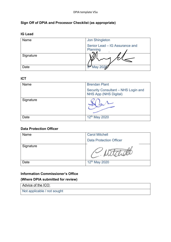# **Sign Off of DPIA and Processor Checklist (as appropriate)**

| Name      | <b>Jon Shingleton</b>                                |
|-----------|------------------------------------------------------|
|           | Senior Lead - IG Assurance and<br>Planning<br>$\sim$ |
| Signature |                                                      |
| Date      | 5 <sup>th</sup> May 2020                             |

## **ICT**

| Name      | <b>Brendan Plant</b>                                                |
|-----------|---------------------------------------------------------------------|
|           | Security Consultant - NHS Login and<br><b>NHS App (NHS Digital)</b> |
| Signature |                                                                     |
| Date      | 12 <sup>th</sup> May 2020                                           |

### **Data Protection Officer**

| Name      | <b>Carol Mitchell</b>          |
|-----------|--------------------------------|
|           | <b>Data Protection Officer</b> |
| Signature |                                |
| Date      | 12 <sup>th</sup> May 2020      |

#### **Information Commissioner's Office**

# **(Where DPIA submitted for review)**

Advice of the ICO:

Not applicable / not sought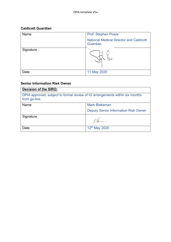# **Caldicott Guardian**

| Name      | Prof. Stephen Powis                                        |
|-----------|------------------------------------------------------------|
|           | <b>National Medical Director and Caldicott</b><br>Guardian |
| Signature | ۱o<br>۱ که (                                               |
| Date      | 11 May 2020                                                |

## **Senior Information Risk Owner**

| Decision of the SIRO:                                                                         |                                             |
|-----------------------------------------------------------------------------------------------|---------------------------------------------|
| DPIA approved, subject to formal review of IG arrangements within six months<br>from go-live. |                                             |
| Name                                                                                          | <b>Mark Blakeman</b>                        |
|                                                                                               | <b>Deputy Senior Information Risk Owner</b> |
| Signature                                                                                     |                                             |
| Date                                                                                          | 12 <sup>th</sup> May 2020                   |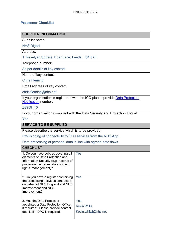# **Processor Checklist**

| <b>SUPPLIER INFORMATION</b>                                                                                                                                                     |                                                                                |  |
|---------------------------------------------------------------------------------------------------------------------------------------------------------------------------------|--------------------------------------------------------------------------------|--|
| Supplier name:                                                                                                                                                                  |                                                                                |  |
| <b>NHS Digital</b>                                                                                                                                                              |                                                                                |  |
| Address:                                                                                                                                                                        |                                                                                |  |
| 1 Trevelyan Square, Boar Lane, Leeds, LS1 6AE                                                                                                                                   |                                                                                |  |
| Telephone number:                                                                                                                                                               |                                                                                |  |
| As per details of key contact                                                                                                                                                   |                                                                                |  |
| Name of key contact:                                                                                                                                                            |                                                                                |  |
| <b>Chris Fleming</b>                                                                                                                                                            |                                                                                |  |
| Email address of key contact:                                                                                                                                                   |                                                                                |  |
| chris.fleming@nhs.net                                                                                                                                                           |                                                                                |  |
| <b>Notification number:</b>                                                                                                                                                     | If your organisation is registered with the ICO please provide Data Protection |  |
| Z8959110                                                                                                                                                                        |                                                                                |  |
| Is your organisation compliant with the Data Security and Protection Toolkit:                                                                                                   |                                                                                |  |
| Yes                                                                                                                                                                             |                                                                                |  |
| <b>SERVICE TO BE SUPPLIED</b>                                                                                                                                                   |                                                                                |  |
| Please describe the service which is to be provided:                                                                                                                            |                                                                                |  |
| Provisioning of connectivity to OLC services from the NHS App.                                                                                                                  |                                                                                |  |
| Data processing of personal data in line with agreed data flows.                                                                                                                |                                                                                |  |
| <b>CHECKLIST</b>                                                                                                                                                                |                                                                                |  |
| 1. Do you have policies covering all<br>elements of Data Protection and<br>Information Security (e.g. records of<br>processing activities, data subject<br>rights' management)? | Yes                                                                            |  |
| 2. Do you have a register containing<br>the processing activities conducted<br>on behalf of NHS England and NHS<br>Improvement and NHS<br>Improvement?                          | Yes                                                                            |  |
| 3. Has the Data Processor<br>appointed a Data Protection Officer<br>if required? Please provide contact<br>details if a DPO is required.                                        | Yes<br><b>Kevin Willis</b><br>Kevin.willis2@nhs.net                            |  |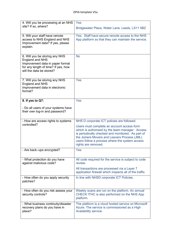| 4. Will you be processing at an NHS<br>site? If so, where?                                                                                                      | Yes<br>Bridgewater Place, Water Lane, Leeds, LS11 5BZ                                                                                                                                                                                                                       |
|-----------------------------------------------------------------------------------------------------------------------------------------------------------------|-----------------------------------------------------------------------------------------------------------------------------------------------------------------------------------------------------------------------------------------------------------------------------|
| 5. Will your staff have remote<br>access to NHS England and NHS<br>Improvement data? If yes, please<br>explain.                                                 | Yes. Staff have secure remote access to the NHS<br>App platform so that they can maintain the service.                                                                                                                                                                      |
| 6. Will you be storing any NHS<br><b>England and NHS</b><br>Improvement data in paper format<br>for any length of time? If yes, how<br>will the data be stored? | <b>No</b>                                                                                                                                                                                                                                                                   |
| 7. Will you be storing any NHS<br><b>England and NHS</b><br>Improvement data in electronic<br>format?                                                           | Yes                                                                                                                                                                                                                                                                         |
| 8. If yes to Q7:                                                                                                                                                | Yes                                                                                                                                                                                                                                                                         |
| - Do all users of your systems have<br>their own log-in and password?                                                                                           |                                                                                                                                                                                                                                                                             |
| - How are access rights to systems                                                                                                                              | NHS D corporate ICT policies are followed.                                                                                                                                                                                                                                  |
| controlled?                                                                                                                                                     | Users must complete an account access form<br>which is authorised by the team manager. Access<br>is periodically checked and monitored. As part of<br>the Joiners Movers and Leavers Process (JML)<br>users follow a process where the system access<br>rights are removed. |
| - Are back-ups encrypted?                                                                                                                                       | Yes                                                                                                                                                                                                                                                                         |
| - What protection do you have<br>against malicious code?                                                                                                        | All code required for the service is subject to code<br>review.                                                                                                                                                                                                             |
|                                                                                                                                                                 | All transactions are processed via a Layer 7<br>application firewall which inspects all of the traffic.                                                                                                                                                                     |
| - How often do you apply security<br>patches?                                                                                                                   | In line with NHSD corporate ICT Policies.                                                                                                                                                                                                                                   |
| - How often do you risk assess your<br>security controls?                                                                                                       | Weekly scans are run on the platform. An annual<br>CHECK ITHC is also performed on the NHS App<br>platform.                                                                                                                                                                 |
| - What business continuity/disaster<br>recovery plans do you have in<br>place?                                                                                  | The platform is a cloud hosted service on Microsoft<br>Azure. The service is commissioned as a High<br>Availability service.                                                                                                                                                |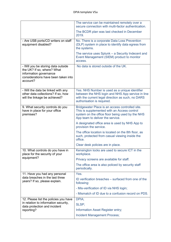|                                                                                                                                               | The service can be maintained remotely over a<br>secure connection with multi-factor authentication.                                                                                   |
|-----------------------------------------------------------------------------------------------------------------------------------------------|----------------------------------------------------------------------------------------------------------------------------------------------------------------------------------------|
|                                                                                                                                               | The BCDR plan was last checked in December<br>2019.                                                                                                                                    |
| - Are USB ports/CD writers on staff<br>equipment disabled?                                                                                    | No. There is a corporate Data Loss Prevention<br>(DLP) system in place to identify data egress from<br>the systems.                                                                    |
|                                                                                                                                               | The service uses Splunk – a Security Indecent and<br>Event Management (SIEM) product to monitor<br>access.                                                                             |
| - Will you be storing data outside<br>the UK? If so, where? What<br>information governance<br>considerations have been taken into<br>account? | No data is stored outside of the UK.                                                                                                                                                   |
| - Will the data be linked with any<br>other data collections? If so, how<br>will the linkage be achieved?                                     | Yes. NHS Number is used as a unique identifier<br>between the NHS login and NHS App service in line<br>with the current legal direction as such, no DARS<br>authorisation is required. |
| 9. What security controls do you<br>have in place for your office<br>premises?                                                                | Bridgewater Place is an access controlled site.<br>This is supplemented with an Access control<br>system on the office floor being used by the NHS<br>App team to deliver the service. |
|                                                                                                                                               | A designated office area is used by NHS App to<br>provision the service.                                                                                                               |
|                                                                                                                                               | The office location is located on the 8th floor, as<br>such, protected from casual viewing inside the<br>office.                                                                       |
|                                                                                                                                               | Clear desk policies are in place.                                                                                                                                                      |
| 10. What controls do you have in<br>place for the security of your                                                                            | Kensington locks are used to secure ICT in the<br>workplace.                                                                                                                           |
| equipment?                                                                                                                                    | Privacy screens are available for staff.                                                                                                                                               |
|                                                                                                                                               | The office area is also policed by security staff<br>periodically.                                                                                                                     |
| 11. Have you had any personal                                                                                                                 | Yes.                                                                                                                                                                                   |
| data breaches in the last three<br>years? If so, please explain.                                                                              | ID verification breaches – surfaced from one of the<br>following:                                                                                                                      |
|                                                                                                                                               | - Mis-verification of ID via NHS login;                                                                                                                                                |
|                                                                                                                                               | - Mismatch of ID due to a confusion record on PDS.                                                                                                                                     |
| 12. Please list the policies you have                                                                                                         | DPIA;                                                                                                                                                                                  |
| in relation to information security,<br>data protection and incident                                                                          | SLSP;                                                                                                                                                                                  |
| reporting?                                                                                                                                    | Information Asset Register entry;                                                                                                                                                      |
|                                                                                                                                               | <b>Incident Management Process;</b>                                                                                                                                                    |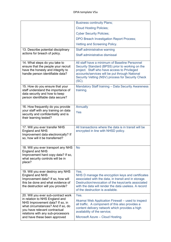|                                                                                                                                                                            | <b>Business continuity Plans;</b>                                                                                                                                                                                                                                     |
|----------------------------------------------------------------------------------------------------------------------------------------------------------------------------|-----------------------------------------------------------------------------------------------------------------------------------------------------------------------------------------------------------------------------------------------------------------------|
|                                                                                                                                                                            | <b>Cloud Hosting Policies;</b>                                                                                                                                                                                                                                        |
|                                                                                                                                                                            | <b>Cyber Security Policies;</b>                                                                                                                                                                                                                                       |
|                                                                                                                                                                            | DPO Breach Investigation Report Process;                                                                                                                                                                                                                              |
|                                                                                                                                                                            | Vetting and Screening Policy.                                                                                                                                                                                                                                         |
| 13. Describe potential disciplinary                                                                                                                                        | Staff administrative warning                                                                                                                                                                                                                                          |
| actions for breach of policy.                                                                                                                                              | Staff administrative dismissal                                                                                                                                                                                                                                        |
| 14. What steps do you take to<br>ensure that the people your recruit<br>have the honesty and integrity to<br>handle person identifiable data?                              | All staff have a minimum of Baseline Personnel<br>Security Standard (BPSS) prior to working on the<br>project. Staff who have access to Privileged<br>accounts/services will be put through National<br>Security Vetting (NSV) process for Security Check<br>$(SC)$ . |
| 15. How do you ensure that your<br>staff understand the importance of<br>data security and how to keep<br>person identifiable data secure?                                 | Mandatory Staff training - Data Security Awareness<br>training.                                                                                                                                                                                                       |
| 16. How frequently do you provide                                                                                                                                          | Annually                                                                                                                                                                                                                                                              |
| your staff with any training on data<br>security and confidentiality and is<br>their learning tested?                                                                      | Yes                                                                                                                                                                                                                                                                   |
| 17. Will you ever transfer NHS<br><b>England and NHS</b><br>Improvement data electronically? If<br>so, how will it be transferred?                                         | All transactions where the data is in transit will be<br>encrypted in line with NHSD policy.                                                                                                                                                                          |
| 18. Will you ever transport any NHS<br><b>England and NHS</b><br>Improvement hard copy data? If so,<br>what security controls will be in<br>place?                         | No                                                                                                                                                                                                                                                                    |
| 19. Will you ever destroy any NHS<br><b>England and NHS</b><br>Improvement data? If so, how will<br>this be done and what evidence of<br>the destruction will you provide? | Yes.<br>NHS D manage the encryption keys and certificates<br>associated with the data, in transit and in storage.<br>Destruction/revocation of the keys/certs associated<br>with the data will render the data useless. A record<br>of the destruction is available.  |
| 20. Will you ever sub-contract work<br>in relation to NHS England and                                                                                                      | Yes.                                                                                                                                                                                                                                                                  |
| NHS Improvement data? If so, in<br>what circumstances? And if so, do<br>you have relevant contractual<br>relations with any sub-processors                                 | Akamai Web Application Firewall – used to inspect<br>all traffic. A component of this also provides a<br>content delivery network which provides a high<br>availability of the service;                                                                               |
| and have these been approved                                                                                                                                               | Microsoft Azure – Cloud Hosting.                                                                                                                                                                                                                                      |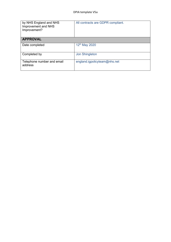| by NHS England and NHS<br>Improvement and NHS<br>Improvement? | All contracts are GDPR compliant. |
|---------------------------------------------------------------|-----------------------------------|
| <b>APPROVAL</b>                                               |                                   |
| Date completed                                                | 12 <sup>th</sup> May 2020         |
| Completed by                                                  | <b>Jon Shingleton</b>             |
| Telephone number and email<br>address                         | england.igpolicyteam@nhs.net      |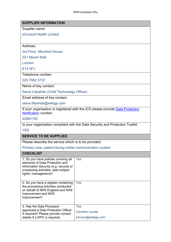| <b>SUPPLIER INFORMATION</b>                                                                                                                                                     |                                                                               |  |
|---------------------------------------------------------------------------------------------------------------------------------------------------------------------------------|-------------------------------------------------------------------------------|--|
| Supplier name:                                                                                                                                                                  |                                                                               |  |
| eConsult Health Limited                                                                                                                                                         |                                                                               |  |
|                                                                                                                                                                                 |                                                                               |  |
| Address:                                                                                                                                                                        |                                                                               |  |
| 3rd Floor, Moorfoot House                                                                                                                                                       |                                                                               |  |
| 221 Marsh Wall                                                                                                                                                                  |                                                                               |  |
| London                                                                                                                                                                          |                                                                               |  |
| <b>E14 9FJ</b>                                                                                                                                                                  |                                                                               |  |
| Telephone number:                                                                                                                                                               |                                                                               |  |
| 020 7062 5737                                                                                                                                                                   |                                                                               |  |
| Name of key contact:                                                                                                                                                            |                                                                               |  |
| <b>Steve Lillywhite (Chief Technology Officer)</b>                                                                                                                              |                                                                               |  |
| Email address of key contact:                                                                                                                                                   |                                                                               |  |
| steve.lillywhite@webgp.com                                                                                                                                                      |                                                                               |  |
| If your organisation is registered with the ICO please provide Data Protection<br><b>Notification number:</b>                                                                   |                                                                               |  |
| Z2881782                                                                                                                                                                        |                                                                               |  |
|                                                                                                                                                                                 | Is your organisation compliant with the Data Security and Protection Toolkit: |  |
| <b>YES</b>                                                                                                                                                                      |                                                                               |  |
| <b>SERVICE TO BE SUPPLIED</b>                                                                                                                                                   |                                                                               |  |
| Please describe the service which is to be provided:                                                                                                                            |                                                                               |  |
| Primary care, patient-facing online communication system                                                                                                                        |                                                                               |  |
| <b>CHECKLIST</b>                                                                                                                                                                |                                                                               |  |
| 1. Do you have policies covering all<br>elements of Data Protection and<br>Information Security (e.g. records of<br>processing activities, data subject<br>rights' management)? | Yes                                                                           |  |
| 2. Do you have a register containing<br>the processing activities conducted<br>on behalf of NHS England and NHS<br>Improvement and NHS<br>Improvement?                          | Yes                                                                           |  |
| 3. Has the Data Processor<br>appointed a Data Protection Officer<br>if required? Please provide contact<br>details if a DPO is required.                                        | Yes<br><b>Caroline Leuder</b><br>privacy@webgp.com                            |  |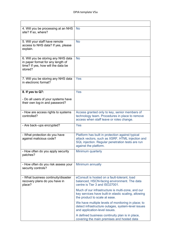| 4. Will you be processing at an NHS<br>site? If so, where?                                                                | <b>No</b>                                                                                                                                                                         |
|---------------------------------------------------------------------------------------------------------------------------|-----------------------------------------------------------------------------------------------------------------------------------------------------------------------------------|
| 5. Will your staff have remote<br>access to NHS data? If yes, please<br>explain.                                          | <b>No</b>                                                                                                                                                                         |
| 6. Will you be storing any NHS data<br>in paper format for any length of<br>time? If yes, how will the data be<br>stored? | <b>No</b>                                                                                                                                                                         |
| 7. Will you be storing any NHS data<br>in electronic format?                                                              | Yes                                                                                                                                                                               |
| 8. If yes to Q7:                                                                                                          | Yes                                                                                                                                                                               |
| - Do all users of your systems have<br>their own log-in and password?                                                     |                                                                                                                                                                                   |
| - How are access rights to systems<br>controlled?                                                                         | Access granted only to key, senior members of<br>technology team. Procedures in place to remove<br>access when staff leave or roles change.                                       |
| - Are back-ups encrypted?                                                                                                 | Yes                                                                                                                                                                               |
| - What protection do you have<br>against malicious code?                                                                  | Platform has built in protection against typical<br>attack vectors, such as XSRF, HTML injection and<br>SQL injection. Regular penetration tests are run<br>against the platform. |
| - How often do you apply security<br>patches?                                                                             | Minimum quarterly                                                                                                                                                                 |
| - How often do you risk assess your<br>security controls?                                                                 | Minimum annually                                                                                                                                                                  |
| - What business continuity/disaster<br>recovery plans do you have in<br>place?                                            | eConsult is hosted on a fault-tolerant, load<br>balanced, HSCN-facing environment. The data<br>centre is Tier 3 and ISO27001.                                                     |
|                                                                                                                           | Much of our infrastructure is multi-zone, and our<br>key services have built-in elastic scaling, allowing<br>the product to scale at ease.                                        |
|                                                                                                                           | We have multiple levels of monitoring in place; to<br>detect infrastructure outages, system-level issues<br>and application-level issues.                                         |
|                                                                                                                           | A defined business continuity plan is in place,<br>covering the main premises and hosted data                                                                                     |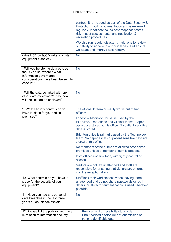|                                                                                                                                               | centres. It is included as part of the Data Security &<br>Protection Toolkit documentation and is reviewed<br>regularly. It defines the incident response teams,<br>risk impact assessments, and notification &<br>escalation procedures. |
|-----------------------------------------------------------------------------------------------------------------------------------------------|-------------------------------------------------------------------------------------------------------------------------------------------------------------------------------------------------------------------------------------------|
|                                                                                                                                               | We also run regular disaster simulations to review<br>our ability to adhere to our guidelines, and ensure<br>we adapt and improve accordingly.                                                                                            |
| - Are USB ports/CD writers on staff<br>equipment disabled?                                                                                    | <b>No</b>                                                                                                                                                                                                                                 |
| - Will you be storing data outside<br>the UK? If so, where? What<br>information governance<br>considerations have been taken into<br>account? | <b>No</b>                                                                                                                                                                                                                                 |
| - Will the data be linked with any<br>other data collections? If so, how<br>will the linkage be achieved?                                     | <b>No</b>                                                                                                                                                                                                                                 |
| 9. What security controls do you<br>have in place for your office                                                                             | The eConsult team primarily works out of two<br>offices:                                                                                                                                                                                  |
| premises?                                                                                                                                     | London – Moorfoot House, is used by the<br>Executive, Operations and Clinical teams. Paper<br>assets are stored at this office. No patient sensitive<br>data is stored.                                                                   |
|                                                                                                                                               | Brighton office is primarily used by the Technology<br>team. No paper assets or patient sensitive data are<br>stored at this office.                                                                                                      |
|                                                                                                                                               | No members of the public are allowed onto either<br>premises unless a member of staff is present.                                                                                                                                         |
|                                                                                                                                               | Both offices use key fobs, with tightly controlled<br>access.                                                                                                                                                                             |
|                                                                                                                                               | Visitors are not left unattended and staff are<br>responsible for ensuring that visitors are entered<br>into the reception diary.                                                                                                         |
| 10. What controls do you have in<br>place for the security of your<br>equipment?                                                              | Staff lock their workstations when leaving them<br>unattended and do not share passwords or log in<br>details. Multi-factor authentication is used wherever<br>possible.                                                                  |
| 11. Have you had any personal<br>data breaches in the last three<br>years? If so, please explain.                                             | <b>No</b>                                                                                                                                                                                                                                 |
| 12. Please list the policies you have<br>in relation to information security,                                                                 | Browser and accessibility standards<br>÷,<br>Unauthorised disclosure or transmission of<br>patient identifiable data                                                                                                                      |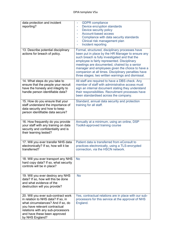| data protection and incident<br>reporting?                                                                                                                                                                                              | <b>GDPR</b> compliance<br>ä,<br>Device encryption standards<br>÷,<br>Device security policy<br>÷<br>Account-based access<br>Compliance with data security standards<br>Clinical risk management plan<br>٠<br>Incident reporting                                                                                                                                                                                        |
|-----------------------------------------------------------------------------------------------------------------------------------------------------------------------------------------------------------------------------------------|------------------------------------------------------------------------------------------------------------------------------------------------------------------------------------------------------------------------------------------------------------------------------------------------------------------------------------------------------------------------------------------------------------------------|
| 13. Describe potential disciplinary<br>actions for breach of policy.                                                                                                                                                                    | Formal, structured, disciplinary processes have<br>been put in place by the HR Manager to ensure any<br>such breach is fully investigated and that the<br>employee is fairly represented. Disciplinary<br>meetings are documented, chaired by a senior<br>manager and employees given the choice to have a<br>companion at all times. Disciplinary penalties have<br>three stages; two written warnings and dismissal. |
| 14. What steps do you take to<br>ensure that the people your recruit<br>have the honesty and integrity to<br>handle person identifiable data?                                                                                           | All staff are required to have a DBS check. Any<br>member of staff with administrative access must<br>sign an internal document stating they understand<br>their responsibilities. Recruitment processes have<br>been standardised across the company.                                                                                                                                                                 |
| 15. How do you ensure that your<br>staff understand the importance of<br>data security and how to keep<br>person identifiable data secure?                                                                                              | Standard, annual data security and protection<br>training for all staff.                                                                                                                                                                                                                                                                                                                                               |
| 16. How frequently do you provide<br>your staff with any training on data<br>security and confidentiality and is<br>their learning tested?                                                                                              | Annually at a minimum, using an online, DSP<br>Toolkit-approved training course                                                                                                                                                                                                                                                                                                                                        |
| 17. Will you ever transfer NHS data<br>electronically? If so, how will it be<br>transferred?                                                                                                                                            | Patient data is transferred from eConsult to<br>practices electronically, using a TLS-encrypted<br>connection, via the HSCN network.                                                                                                                                                                                                                                                                                   |
| 18. Will you ever transport any NHS<br>hard copy data? If so, what security<br>controls will be in place?                                                                                                                               | <b>No</b>                                                                                                                                                                                                                                                                                                                                                                                                              |
| 19. Will you ever destroy any NHS<br>data? If so, how will this be done<br>and what evidence of the<br>destruction will you provide?                                                                                                    | <b>No</b>                                                                                                                                                                                                                                                                                                                                                                                                              |
| 20. Will you ever sub-contract work<br>in relation to NHS data? If so, in<br>what circumstances? And if so, do<br>you have relevant contractual<br>relations with any sub-processors<br>and have these been approved<br>by NHS England? | Yes, contractual relations are in place with our sub-<br>processors for this service at the approval of NHS<br>England.                                                                                                                                                                                                                                                                                                |